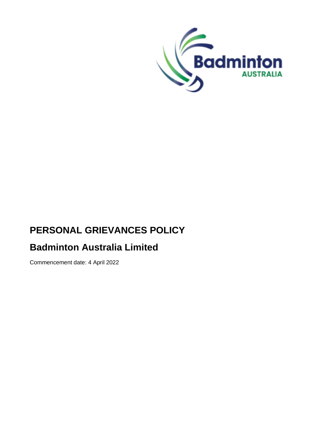

# **PERSONAL GRIEVANCES POLICY**

# **Badminton Australia Limited**

Commencement date: 4 April 2022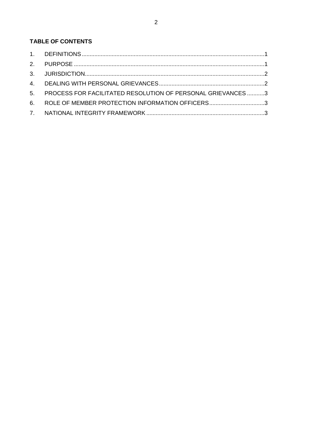# TABLE OF CONTENTS

| 5. PROCESS FOR FACILITATED RESOLUTION OF PERSONAL GRIEVANCES 3 |  |
|----------------------------------------------------------------|--|
| 6. ROLE OF MEMBER PROTECTION INFORMATION OFFICERS3             |  |
|                                                                |  |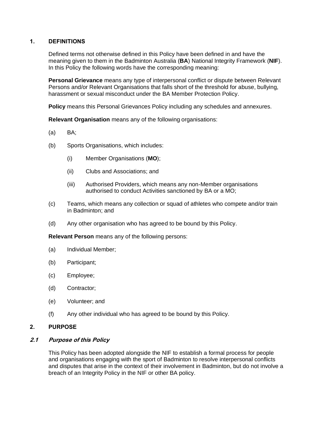### <span id="page-2-0"></span>**1. DEFINITIONS**

Defined terms not otherwise defined in this Policy have been defined in and have the meaning given to them in the Badminton Australia (**BA**) National Integrity Framework (**NIF**). In this Policy the following words have the corresponding meaning:

**Personal Grievance** means any type of interpersonal conflict or dispute between Relevant Persons and/or Relevant Organisations that falls short of the threshold for abuse, bullying, harassment or sexual misconduct under the BA Member Protection Policy.

**Policy** means this Personal Grievances Policy including any schedules and annexures.

**Relevant Organisation** means any of the following organisations:

- (a) BA;
- (b) Sports Organisations, which includes:
	- (i) Member Organisations (**MO**);
	- (ii) Clubs and Associations; and
	- (iii) Authorised Providers, which means any non-Member organisations authorised to conduct Activities sanctioned by BA or a MO;
- (c) Teams, which means any collection or squad of athletes who compete and/or train in Badminton; and
- (d) Any other organisation who has agreed to be bound by this Policy.

**Relevant Person** means any of the following persons:

- (a) Individual Member;
- (b) Participant;
- (c) Employee;
- (d) Contractor;
- (e) Volunteer; and
- (f) Any other individual who has agreed to be bound by this Policy.

#### <span id="page-2-1"></span>**2. PURPOSE**

#### **2.1 Purpose of this Policy**

This Policy has been adopted alongside the NIF to establish a formal process for people and organisations engaging with the sport of Badminton to resolve interpersonal conflicts and disputes that arise in the context of their involvement in Badminton, but do not involve a breach of an Integrity Policy in the NIF or other BA policy.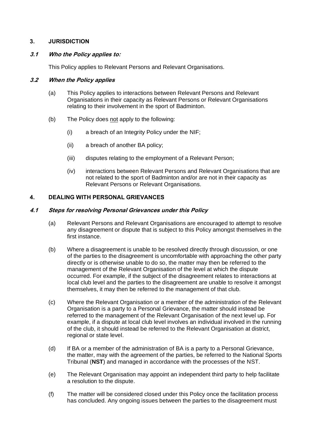## <span id="page-3-0"></span>**3. JURISDICTION**

#### **3.1 Who the Policy applies to:**

This Policy applies to Relevant Persons and Relevant Organisations.

#### **3.2 When the Policy applies**

- (a) This Policy applies to interactions between Relevant Persons and Relevant Organisations in their capacity as Relevant Persons or Relevant Organisations relating to their involvement in the sport of Badminton.
- (b) The Policy does not apply to the following:
	- (i) a breach of an Integrity Policy under the NIF;
	- (ii) a breach of another BA policy;
	- (iii) disputes relating to the employment of a Relevant Person;
	- (iv) interactions between Relevant Persons and Relevant Organisations that are not related to the sport of Badminton and/or are not in their capacity as Relevant Persons or Relevant Organisations.

## <span id="page-3-1"></span>**4. DEALING WITH PERSONAL GRIEVANCES**

#### **4.1 Steps for resolving Personal Grievances under this Policy**

- (a) Relevant Persons and Relevant Organisations are encouraged to attempt to resolve any disagreement or dispute that is subject to this Policy amongst themselves in the first instance.
- (b) Where a disagreement is unable to be resolved directly through discussion, or one of the parties to the disagreement is uncomfortable with approaching the other party directly or is otherwise unable to do so, the matter may then be referred to the management of the Relevant Organisation of the level at which the dispute occurred. For example, if the subject of the disagreement relates to interactions at local club level and the parties to the disagreement are unable to resolve it amongst themselves, it may then be referred to the management of that club.
- (c) Where the Relevant Organisation or a member of the administration of the Relevant Organisation is a party to a Personal Grievance, the matter should instead be referred to the management of the Relevant Organisation of the next level up. For example, if a dispute at local club level involves an individual involved in the running of the club, it should instead be referred to the Relevant Organisation at district, regional or state level.
- (d) If BA or a member of the administration of BA is a party to a Personal Grievance, the matter, may with the agreement of the parties, be referred to the National Sports Tribunal (**NST**) and managed in accordance with the processes of the NST.
- (e) The Relevant Organisation may appoint an independent third party to help facilitate a resolution to the dispute.
- (f) The matter will be considered closed under this Policy once the facilitation process has concluded. Any ongoing issues between the parties to the disagreement must